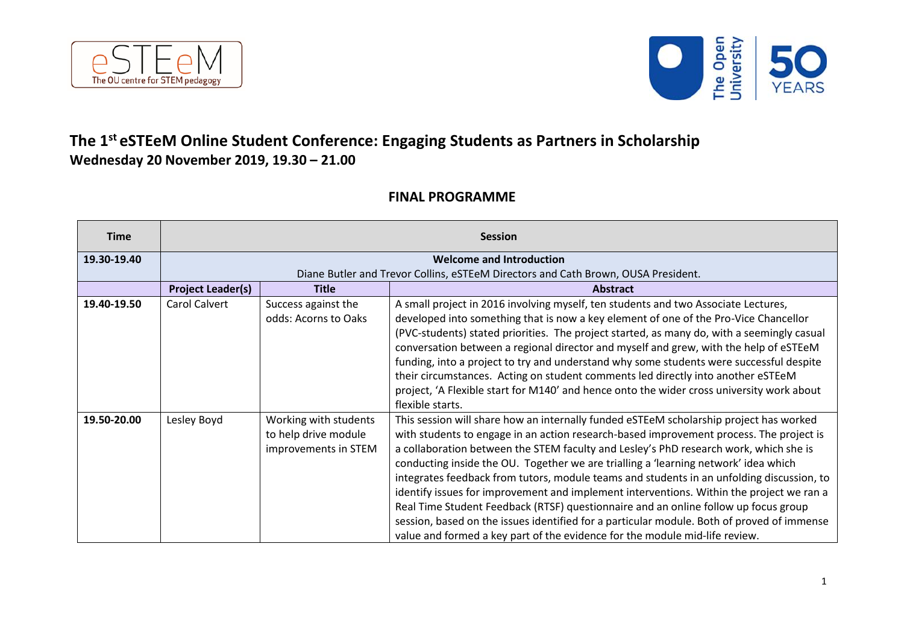



## **The 1 st eSTEeM Online Student Conference: Engaging Students as Partners in Scholarship Wednesday 20 November 2019, 19.30 – 21.00**

## **FINAL PROGRAMME**

| <b>Time</b> | <b>Session</b>                                                                    |                                                                       |                                                                                                                                                                                                                                                                                                                                                                                                                                                                                                                                                                                                                                                                                                                                                                                                                                |
|-------------|-----------------------------------------------------------------------------------|-----------------------------------------------------------------------|--------------------------------------------------------------------------------------------------------------------------------------------------------------------------------------------------------------------------------------------------------------------------------------------------------------------------------------------------------------------------------------------------------------------------------------------------------------------------------------------------------------------------------------------------------------------------------------------------------------------------------------------------------------------------------------------------------------------------------------------------------------------------------------------------------------------------------|
| 19.30-19.40 | <b>Welcome and Introduction</b>                                                   |                                                                       |                                                                                                                                                                                                                                                                                                                                                                                                                                                                                                                                                                                                                                                                                                                                                                                                                                |
|             | Diane Butler and Trevor Collins, eSTEeM Directors and Cath Brown, OUSA President. |                                                                       |                                                                                                                                                                                                                                                                                                                                                                                                                                                                                                                                                                                                                                                                                                                                                                                                                                |
|             | <b>Project Leader(s)</b>                                                          | <b>Title</b>                                                          | <b>Abstract</b>                                                                                                                                                                                                                                                                                                                                                                                                                                                                                                                                                                                                                                                                                                                                                                                                                |
| 19.40-19.50 | Carol Calvert                                                                     | Success against the<br>odds: Acorns to Oaks                           | A small project in 2016 involving myself, ten students and two Associate Lectures,<br>developed into something that is now a key element of one of the Pro-Vice Chancellor<br>(PVC-students) stated priorities. The project started, as many do, with a seemingly casual<br>conversation between a regional director and myself and grew, with the help of eSTEeM<br>funding, into a project to try and understand why some students were successful despite<br>their circumstances. Acting on student comments led directly into another eSTEeM<br>project, 'A Flexible start for M140' and hence onto the wider cross university work about<br>flexible starts.                                                                                                                                                              |
| 19.50-20.00 | Lesley Boyd                                                                       | Working with students<br>to help drive module<br>improvements in STEM | This session will share how an internally funded eSTEeM scholarship project has worked<br>with students to engage in an action research-based improvement process. The project is<br>a collaboration between the STEM faculty and Lesley's PhD research work, which she is<br>conducting inside the OU. Together we are trialling a 'learning network' idea which<br>integrates feedback from tutors, module teams and students in an unfolding discussion, to<br>identify issues for improvement and implement interventions. Within the project we ran a<br>Real Time Student Feedback (RTSF) questionnaire and an online follow up focus group<br>session, based on the issues identified for a particular module. Both of proved of immense<br>value and formed a key part of the evidence for the module mid-life review. |